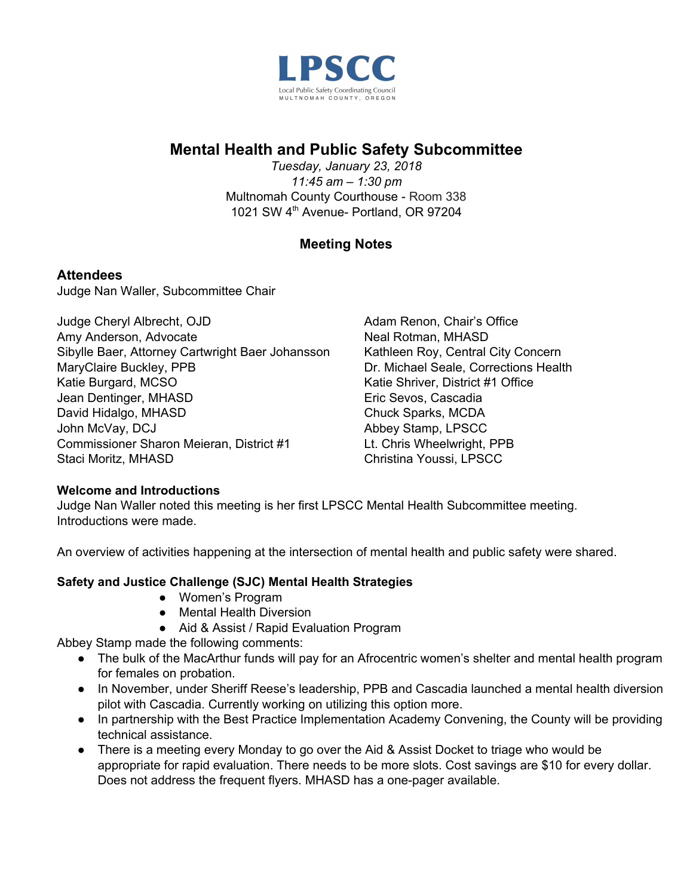

# **Mental Health and Public Safety Subcommittee**

*Tuesday, January 23, 2018 11:45 am – 1:30 pm* Multnomah County Courthouse - Room 338 1021 SW 4<sup>th</sup> Avenue- Portland, OR 97204

# **Meeting Notes**

# **Attendees**

Judge Nan Waller, Subcommittee Chair

Judge Cheryl Albrecht, OJD Amy Anderson, Advocate Sibylle Baer, Attorney Cartwright Baer Johansson MaryClaire Buckley, PPB Katie Burgard, MCSO Jean Dentinger, MHASD David Hidalgo, MHASD John McVay, DCJ Commissioner Sharon Meieran, District #1 Staci Moritz, MHASD

Adam Renon, Chair's Office Neal Rotman, MHASD Kathleen Roy, Central City Concern Dr. Michael Seale, Corrections Health Katie Shriver, District #1 Office Eric Sevos, Cascadia Chuck Sparks, MCDA Abbey Stamp, LPSCC Lt. Chris Wheelwright, PPB Christina Youssi, LPSCC

## **Welcome and Introductions**

Judge Nan Waller noted this meeting is her first LPSCC Mental Health Subcommittee meeting. Introductions were made.

An overview of activities happening at the intersection of mental health and public safety were shared.

## **Safety and Justice Challenge (SJC) Mental Health Strategies**

- Women's Program
- Mental Health Diversion
- Aid & Assist / Rapid Evaluation Program

Abbey Stamp made the following comments:

- The bulk of the MacArthur funds will pay for an Afrocentric women's shelter and mental health program for females on probation.
- In November, under Sheriff Reese's leadership, PPB and Cascadia launched a mental health diversion pilot with Cascadia. Currently working on utilizing this option more.
- In partnership with the Best Practice Implementation Academy Convening, the County will be providing technical assistance.
- There is a meeting every Monday to go over the Aid & Assist Docket to triage who would be appropriate for rapid evaluation. There needs to be more slots. Cost savings are \$10 for every dollar. Does not address the frequent flyers. MHASD has a one-pager available.